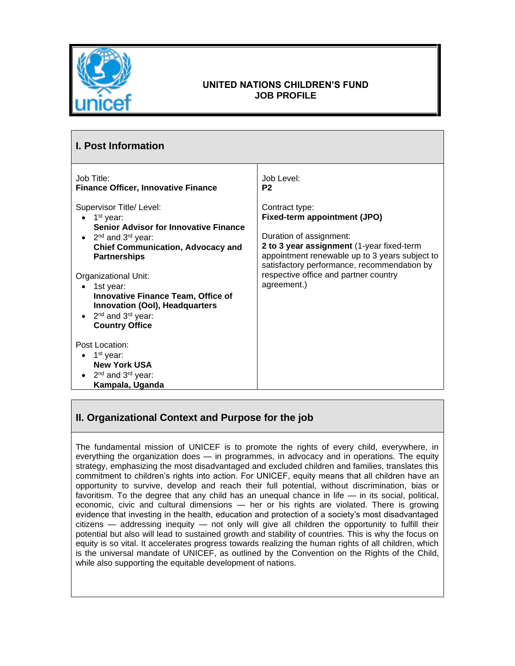

## **UNITED NATIONS CHILDREN'S FUND JOB PROFILE**

| <b>I. Post Information</b>                                                                                                                                                                                                                                                                                                                                                                                                      |                                                                                                                                                                                                                                                                                 |  |
|---------------------------------------------------------------------------------------------------------------------------------------------------------------------------------------------------------------------------------------------------------------------------------------------------------------------------------------------------------------------------------------------------------------------------------|---------------------------------------------------------------------------------------------------------------------------------------------------------------------------------------------------------------------------------------------------------------------------------|--|
| Job Title:<br><b>Finance Officer, Innovative Finance</b>                                                                                                                                                                                                                                                                                                                                                                        | Job Level:<br>P <sub>2</sub>                                                                                                                                                                                                                                                    |  |
| Supervisor Title/ Level:<br>1 <sup>st</sup> year:<br><b>Senior Advisor for Innovative Finance</b><br>2 <sup>nd</sup> and 3 <sup>rd</sup> year:<br>$\bullet$<br><b>Chief Communication, Advocacy and</b><br><b>Partnerships</b><br>Organizational Unit:<br>1st year:<br><b>Innovative Finance Team, Office of</b><br><b>Innovation (OoI), Headquarters</b><br>2 <sup>nd</sup> and 3 <sup>rd</sup> year:<br><b>Country Office</b> | Contract type:<br>Fixed-term appointment (JPO)<br>Duration of assignment:<br>2 to 3 year assignment (1-year fixed-term<br>appointment renewable up to 3 years subject to<br>satisfactory performance, recommendation by<br>respective office and partner country<br>agreement.) |  |
| Post Location:<br>$\bullet$ 1 <sup>st</sup> year:<br><b>New York USA</b><br>2 <sup>nd</sup> and 3 <sup>rd</sup> year:<br>Kampala, Uganda                                                                                                                                                                                                                                                                                        |                                                                                                                                                                                                                                                                                 |  |

# **II. Organizational Context and Purpose for the job**

The fundamental mission of UNICEF is to promote the rights of every child, everywhere, in everything the organization does — in programmes, in advocacy and in operations. The equity strategy, emphasizing the most disadvantaged and excluded children and families, translates this commitment to children's rights into action. For UNICEF, equity means that all children have an opportunity to survive, develop and reach their full potential, without discrimination, bias or favoritism. To the degree that any child has an unequal chance in life — in its social, political, economic, civic and cultural dimensions — her or his rights are violated. There is growing evidence that investing in the health, education and protection of a society's most disadvantaged citizens — addressing inequity — not only will give all children the opportunity to fulfill their potential but also will lead to sustained growth and stability of countries. This is why the focus on equity is so vital. It accelerates progress towards realizing the human rights of all children, which is the universal mandate of UNICEF, as outlined by the Convention on the Rights of the Child, while also supporting the equitable development of nations.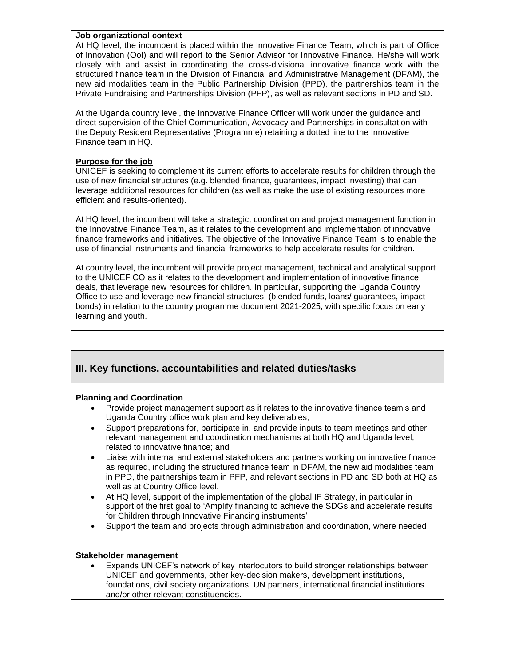#### **Job organizational context**

At HQ level, the incumbent is placed within the Innovative Finance Team, which is part of Office of Innovation (OoI) and will report to the Senior Advisor for Innovative Finance. He/she will work closely with and assist in coordinating the cross-divisional innovative finance work with the structured finance team in the Division of Financial and Administrative Management (DFAM), the new aid modalities team in the Public Partnership Division (PPD), the partnerships team in the Private Fundraising and Partnerships Division (PFP), as well as relevant sections in PD and SD.

At the Uganda country level, the Innovative Finance Officer will work under the guidance and direct supervision of the Chief Communication, Advocacy and Partnerships in consultation with the Deputy Resident Representative (Programme) retaining a dotted line to the Innovative Finance team in HQ.

## **Purpose for the job**

UNICEF is seeking to complement its current efforts to accelerate results for children through the use of new financial structures (e.g. blended finance, guarantees, impact investing) that can leverage additional resources for children (as well as make the use of existing resources more efficient and results-oriented).

At HQ level, the incumbent will take a strategic, coordination and project management function in the Innovative Finance Team, as it relates to the development and implementation of innovative finance frameworks and initiatives. The objective of the Innovative Finance Team is to enable the use of financial instruments and financial frameworks to help accelerate results for children.

At country level, the incumbent will provide project management, technical and analytical support to the UNICEF CO as it relates to the development and implementation of innovative finance deals, that leverage new resources for children. In particular, supporting the Uganda Country Office to use and leverage new financial structures, (blended funds, loans/ guarantees, impact bonds) in relation to the country programme document 2021-2025, with specific focus on early learning and youth.

## **III. Key functions, accountabilities and related duties/tasks**

## **Planning and Coordination**

- Provide project management support as it relates to the innovative finance team's and Uganda Country office work plan and key deliverables;
- Support preparations for, participate in, and provide inputs to team meetings and other relevant management and coordination mechanisms at both HQ and Uganda level, related to innovative finance; and
- Liaise with internal and external stakeholders and partners working on innovative finance as required, including the structured finance team in DFAM, the new aid modalities team in PPD, the partnerships team in PFP, and relevant sections in PD and SD both at HQ as well as at Country Office level.
- At HQ level, support of the implementation of the global IF Strategy, in particular in support of the first goal to 'Amplify financing to achieve the SDGs and accelerate results for Children through Innovative Financing instruments'
- Support the team and projects through administration and coordination, where needed

#### **Stakeholder management**

• Expands UNICEF's network of key interlocutors to build stronger relationships between UNICEF and governments, other key-decision makers, development institutions, foundations, civil society organizations, UN partners, international financial institutions and/or other relevant constituencies.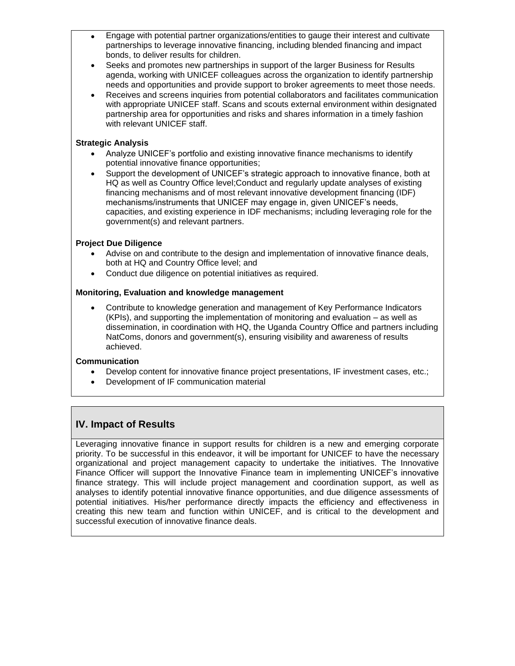- Engage with potential partner organizations/entities to gauge their interest and cultivate partnerships to leverage innovative financing, including blended financing and impact bonds, to deliver results for children.
- Seeks and promotes new partnerships in support of the larger Business for Results agenda, working with UNICEF colleagues across the organization to identify partnership needs and opportunities and provide support to broker agreements to meet those needs.
- Receives and screens inquiries from potential collaborators and facilitates communication with appropriate UNICEF staff. Scans and scouts external environment within designated partnership area for opportunities and risks and shares information in a timely fashion with relevant UNICEF staff.

## **Strategic Analysis**

- Analyze UNICEF's portfolio and existing innovative finance mechanisms to identify potential innovative finance opportunities;
- Support the development of UNICEF's strategic approach to innovative finance, both at HQ as well as Country Office level;Conduct and regularly update analyses of existing financing mechanisms and of most relevant innovative development financing (IDF) mechanisms/instruments that UNICEF may engage in, given UNICEF's needs, capacities, and existing experience in IDF mechanisms; including leveraging role for the government(s) and relevant partners.

## **Project Due Diligence**

- Advise on and contribute to the design and implementation of innovative finance deals, both at HQ and Country Office level; and
- Conduct due diligence on potential initiatives as required.

## **Monitoring, Evaluation and knowledge management**

• Contribute to knowledge generation and management of Key Performance Indicators (KPIs), and supporting the implementation of monitoring and evaluation – as well as dissemination, in coordination with HQ, the Uganda Country Office and partners including NatComs, donors and government(s), ensuring visibility and awareness of results achieved.

## **Communication**

- Develop content for innovative finance project presentations, IF investment cases, etc.;
- Development of IF communication material

# **IV. Impact of Results**

Leveraging innovative finance in support results for children is a new and emerging corporate priority. To be successful in this endeavor, it will be important for UNICEF to have the necessary organizational and project management capacity to undertake the initiatives. The Innovative Finance Officer will support the Innovative Finance team in implementing UNICEF's innovative finance strategy. This will include project management and coordination support, as well as analyses to identify potential innovative finance opportunities, and due diligence assessments of potential initiatives. His/her performance directly impacts the efficiency and effectiveness in creating this new team and function within UNICEF, and is critical to the development and successful execution of innovative finance deals.